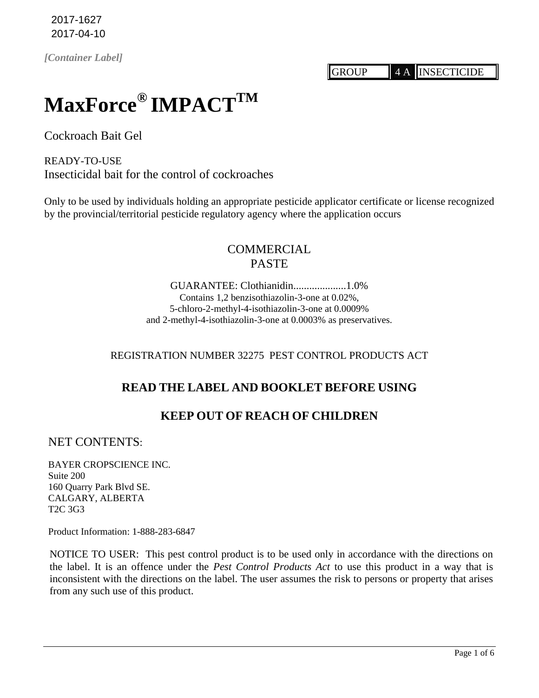2017-1627 2017-04-10

*[Container Label]*

GROUP 4 A INSECTICIDE

# **MaxForce® IMPACTTM**

Cockroach Bait Gel

READY-TO-USE Insecticidal bait for the control of cockroaches

Only to be used by individuals holding an appropriate pesticide applicator certificate or license recognized by the provincial/territorial pesticide regulatory agency where the application occurs

# COMMERCIAL PASTE

GUARANTEE: Clothianidin....................1.0% Contains 1,2 benzisothiazolin-3-one at 0.02%, 5-chloro-2-methyl-4-isothiazolin-3-one at 0.0009% and 2-methyl-4-isothiazolin-3-one at 0.0003% as preservatives.

## REGISTRATION NUMBER 32275 PEST CONTROL PRODUCTS ACT

## **READ THE LABEL AND BOOKLET BEFORE USING**

## **KEEP OUT OF REACH OF CHILDREN**

NET CONTENTS:

BAYER CROPSCIENCE INC. Suite 200 160 Quarry Park Blvd SE. CALGARY, ALBERTA T2C 3G3

Product Information: 1-888-283-6847

NOTICE TO USER: This pest control product is to be used only in accordance with the directions on the label. It is an offence under the *Pest Control Products Act* to use this product in a way that is inconsistent with the directions on the label. The user assumes the risk to persons or property that arises from any such use of this product.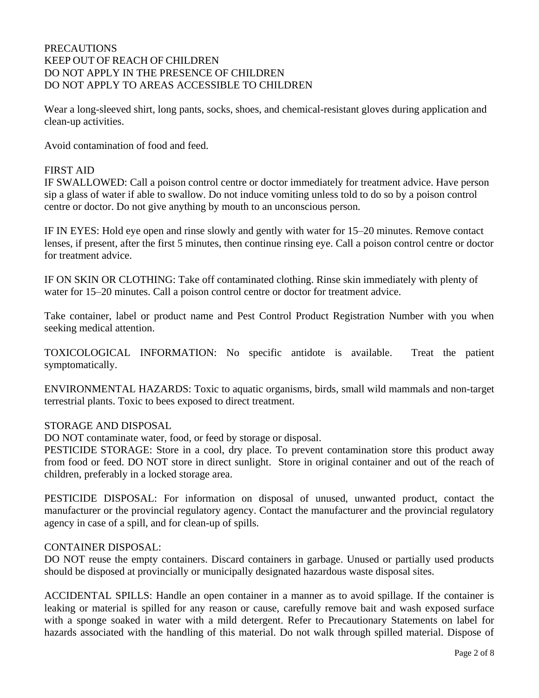## PRECAUTIONS KEEP OUT OF REACH OF CHILDREN DO NOT APPLY IN THE PRESENCE OF CHILDREN DO NOT APPLY TO AREAS ACCESSIBLE TO CHILDREN

Wear a long-sleeved shirt, long pants, socks, shoes, and chemical-resistant gloves during application and clean-up activities.

Avoid contamination of food and feed.

## FIRST AID

IF SWALLOWED: Call a poison control centre or doctor immediately for treatment advice. Have person sip a glass of water if able to swallow. Do not induce vomiting unless told to do so by a poison control centre or doctor. Do not give anything by mouth to an unconscious person.

IF IN EYES: Hold eye open and rinse slowly and gently with water for 15–20 minutes. Remove contact lenses, if present, after the first 5 minutes, then continue rinsing eye. Call a poison control centre or doctor for treatment advice.

IF ON SKIN OR CLOTHING: Take off contaminated clothing. Rinse skin immediately with plenty of water for 15–20 minutes. Call a poison control centre or doctor for treatment advice.

Take container, label or product name and Pest Control Product Registration Number with you when seeking medical attention.

TOXICOLOGICAL INFORMATION: No specific antidote is available. Treat the patient symptomatically.

ENVIRONMENTAL HAZARDS: Toxic to aquatic organisms, birds, small wild mammals and non-target terrestrial plants. Toxic to bees exposed to direct treatment.

## STORAGE AND DISPOSAL

DO NOT contaminate water, food, or feed by storage or disposal.

PESTICIDE STORAGE: Store in a cool, dry place. To prevent contamination store this product away from food or feed. DO NOT store in direct sunlight. Store in original container and out of the reach of children, preferably in a locked storage area.

PESTICIDE DISPOSAL: For information on disposal of unused, unwanted product, contact the manufacturer or the provincial regulatory agency. Contact the manufacturer and the provincial regulatory agency in case of a spill, and for clean-up of spills.

## CONTAINER DISPOSAL:

DO NOT reuse the empty containers. Discard containers in garbage. Unused or partially used products should be disposed at provincially or municipally designated hazardous waste disposal sites.

ACCIDENTAL SPILLS: Handle an open container in a manner as to avoid spillage. If the container is leaking or material is spilled for any reason or cause, carefully remove bait and wash exposed surface with a sponge soaked in water with a mild detergent. Refer to Precautionary Statements on label for hazards associated with the handling of this material. Do not walk through spilled material. Dispose of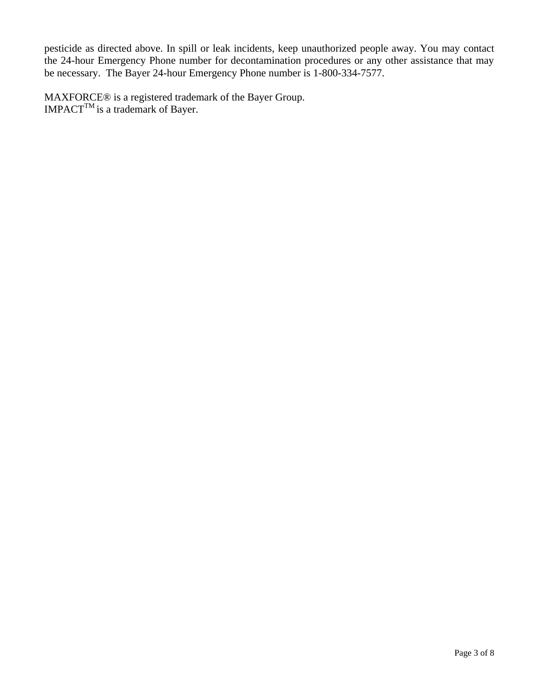pesticide as directed above. In spill or leak incidents, keep unauthorized people away. You may contact the 24-hour Emergency Phone number for decontamination procedures or any other assistance that may be necessary. The Bayer 24-hour Emergency Phone number is 1-800-334-7577.

MAXFORCE® is a registered trademark of the Bayer Group.  $IMPACT^{TM}$  is a trademark of Bayer.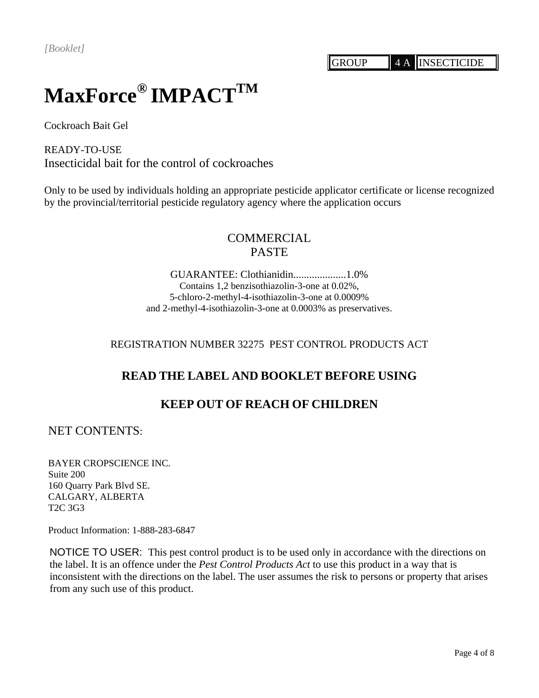# **MaxForce® IMPACTTM**

Cockroach Bait Gel

READY-TO-USE Insecticidal bait for the control of cockroaches

Only to be used by individuals holding an appropriate pesticide applicator certificate or license recognized by the provincial/territorial pesticide regulatory agency where the application occurs

# **COMMERCIAL** PASTE

GUARANTEE: Clothianidin....................1.0% Contains 1,2 benzisothiazolin-3-one at 0.02%, 5-chloro-2-methyl-4-isothiazolin-3-one at 0.0009% and 2-methyl-4-isothiazolin-3-one at 0.0003% as preservatives.

## REGISTRATION NUMBER 32275 PEST CONTROL PRODUCTS ACT

## **READ THE LABEL AND BOOKLET BEFORE USING**

## **KEEP OUT OF REACH OF CHILDREN**

NET CONTENTS:

BAYER CROPSCIENCE INC. Suite 200 160 Quarry Park Blvd SE. CALGARY, ALBERTA T2C 3G3

Product Information: 1-888-283-6847

NOTICE TO USER: This pest control product is to be used only in accordance with the directions on the label. It is an offence under the *Pest Control Products Act* to use this product in a way that is inconsistent with the directions on the label. The user assumes the risk to persons or property that arises from any such use of this product.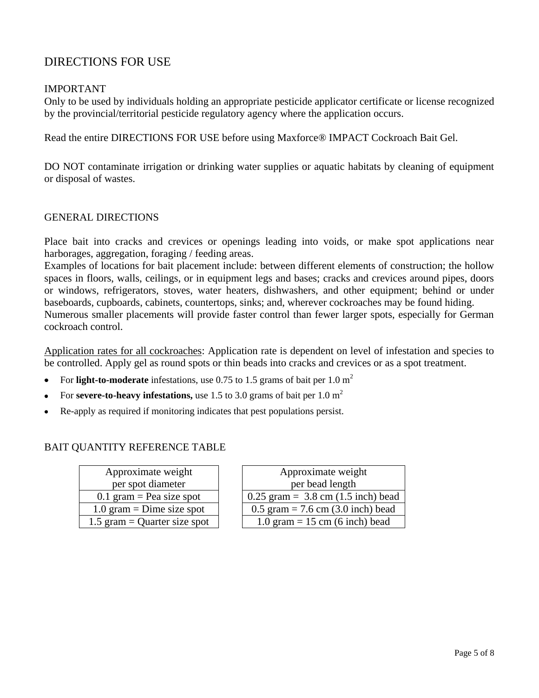# DIRECTIONS FOR USE

## IMPORTANT

Only to be used by individuals holding an appropriate pesticide applicator certificate or license recognized by the provincial/territorial pesticide regulatory agency where the application occurs.

Read the entire DIRECTIONS FOR USE before using Maxforce® IMPACT Cockroach Bait Gel.

DO NOT contaminate irrigation or drinking water supplies or aquatic habitats by cleaning of equipment or disposal of wastes.

## GENERAL DIRECTIONS

Place bait into cracks and crevices or openings leading into voids, or make spot applications near harborages, aggregation, foraging / feeding areas.

Examples of locations for bait placement include: between different elements of construction; the hollow spaces in floors, walls, ceilings, or in equipment legs and bases; cracks and crevices around pipes, doors or windows, refrigerators, stoves, water heaters, dishwashers, and other equipment; behind or under baseboards, cupboards, cabinets, countertops, sinks; and, wherever cockroaches may be found hiding. Numerous smaller placements will provide faster control than fewer larger spots, especially for German cockroach control.

Application rates for all cockroaches: Application rate is dependent on level of infestation and species to be controlled. Apply gel as round spots or thin beads into cracks and crevices or as a spot treatment.

- For **light-to-moderate** infestations, use 0.75 to 1.5 grams of bait per 1.0 m<sup>2</sup>  $\bullet$
- For **severe-to-heavy infestations,** use 1.5 to 3.0 grams of bait per 1.0  $m^2$
- Re-apply as required if monitoring indicates that pest populations persist.

## BAIT QUANTITY REFERENCE TABLE

| Approximate weight           |  |
|------------------------------|--|
| per spot diameter            |  |
| 0.1 gram = Pea size spot     |  |
| 1.0 gram = Dime size spot    |  |
| 1.5 gram = Quarter size spot |  |

| Approximate weight           | Approximate weight                          |
|------------------------------|---------------------------------------------|
| per spot diameter            | per bead length                             |
| 0.1 gram = Pea size spot     | $0.25$ gram = 3.8 cm (1.5 inch) bead        |
| 1.0 gram = Dime size spot    | 0.5 gram = 7.6 cm $(3.0 \text{ inch})$ bead |
| 1.5 gram = Quarter size spot | $1.0$ gram = 15 cm (6 inch) bead            |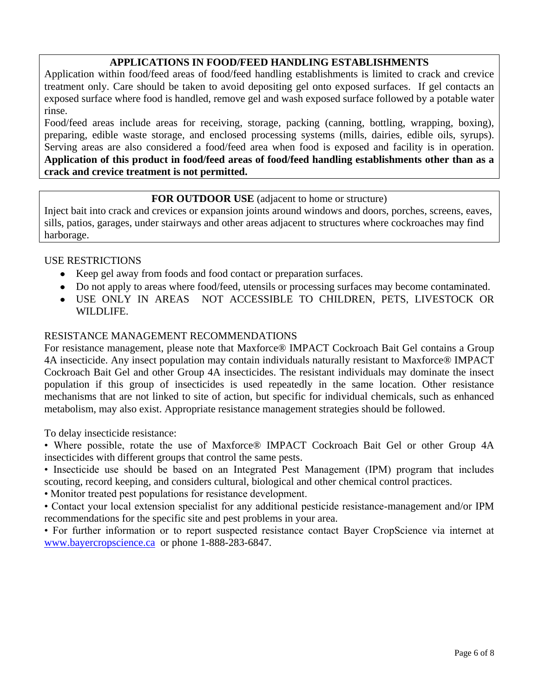## **APPLICATIONS IN FOOD/FEED HANDLING ESTABLISHMENTS**

Application within food/feed areas of food/feed handling establishments is limited to crack and crevice treatment only. Care should be taken to avoid depositing gel onto exposed surfaces. If gel contacts an exposed surface where food is handled, remove gel and wash exposed surface followed by a potable water rinse.

Food/feed areas include areas for receiving, storage, packing (canning, bottling, wrapping, boxing), preparing, edible waste storage, and enclosed processing systems (mills, dairies, edible oils, syrups). Serving areas are also considered a food/feed area when food is exposed and facility is in operation. **Application of this product in food/feed areas of food/feed handling establishments other than as a crack and crevice treatment is not permitted.**

## **FOR OUTDOOR USE** (adjacent to home or structure)

Inject bait into crack and crevices or expansion joints around windows and doors, porches, screens, eaves, sills, patios, garages, under stairways and other areas adjacent to structures where cockroaches may find harborage.

## USE RESTRICTIONS

- Keep gel away from foods and food contact or preparation surfaces.
- Do not apply to areas where food/feed, utensils or processing surfaces may become contaminated.
- USE ONLY IN AREAS NOT ACCESSIBLE TO CHILDREN, PETS, LIVESTOCK OR WILDLIFE.

## RESISTANCE MANAGEMENT RECOMMENDATIONS

For resistance management, please note that Maxforce® IMPACT Cockroach Bait Gel contains a Group 4A insecticide. Any insect population may contain individuals naturally resistant to Maxforce® IMPACT Cockroach Bait Gel and other Group 4A insecticides. The resistant individuals may dominate the insect population if this group of insecticides is used repeatedly in the same location. Other resistance mechanisms that are not linked to site of action, but specific for individual chemicals, such as enhanced metabolism, may also exist. Appropriate resistance management strategies should be followed.

To delay insecticide resistance:

• Where possible, rotate the use of Maxforce® IMPACT Cockroach Bait Gel or other Group 4A insecticides with different groups that control the same pests.

• Insecticide use should be based on an Integrated Pest Management (IPM) program that includes scouting, record keeping, and considers cultural, biological and other chemical control practices.

• Monitor treated pest populations for resistance development.

• Contact your local extension specialist for any additional pesticide resistance-management and/or IPM recommendations for the specific site and pest problems in your area.

• For further information or to report suspected resistance contact Bayer CropScience via internet at [www.bayercropscience.ca](http://www.bayercropscience.ca/) or phone 1-888-283-6847.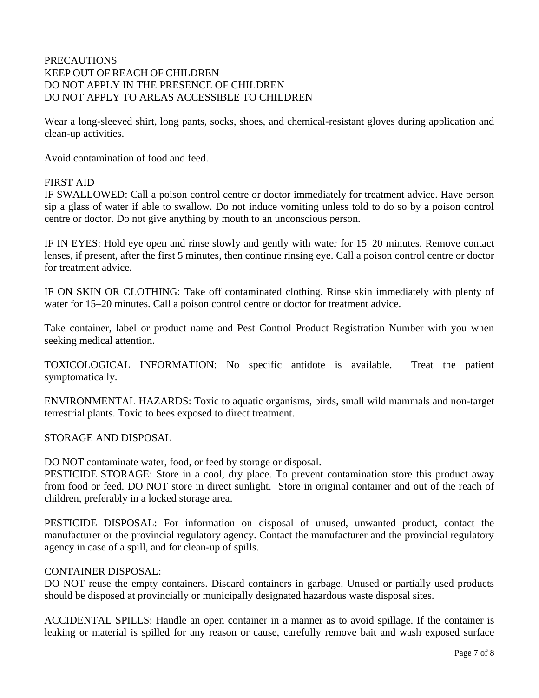## **PRECAUTIONS** KEEP OUT OF REACH OF CHILDREN DO NOT APPLY IN THE PRESENCE OF CHILDREN DO NOT APPLY TO AREAS ACCESSIBLE TO CHILDREN

Wear a long-sleeved shirt, long pants, socks, shoes, and chemical-resistant gloves during application and clean-up activities.

Avoid contamination of food and feed.

## FIRST AID

IF SWALLOWED: Call a poison control centre or doctor immediately for treatment advice. Have person sip a glass of water if able to swallow. Do not induce vomiting unless told to do so by a poison control centre or doctor. Do not give anything by mouth to an unconscious person.

IF IN EYES: Hold eye open and rinse slowly and gently with water for 15–20 minutes. Remove contact lenses, if present, after the first 5 minutes, then continue rinsing eye. Call a poison control centre or doctor for treatment advice.

IF ON SKIN OR CLOTHING: Take off contaminated clothing. Rinse skin immediately with plenty of water for 15–20 minutes. Call a poison control centre or doctor for treatment advice.

Take container, label or product name and Pest Control Product Registration Number with you when seeking medical attention.

TOXICOLOGICAL INFORMATION: No specific antidote is available. Treat the patient symptomatically.

ENVIRONMENTAL HAZARDS: Toxic to aquatic organisms, birds, small wild mammals and non-target terrestrial plants. Toxic to bees exposed to direct treatment.

STORAGE AND DISPOSAL

DO NOT contaminate water, food, or feed by storage or disposal.

PESTICIDE STORAGE: Store in a cool, dry place. To prevent contamination store this product away from food or feed. DO NOT store in direct sunlight. Store in original container and out of the reach of children, preferably in a locked storage area.

PESTICIDE DISPOSAL: For information on disposal of unused, unwanted product, contact the manufacturer or the provincial regulatory agency. Contact the manufacturer and the provincial regulatory agency in case of a spill, and for clean-up of spills.

#### CONTAINER DISPOSAL:

DO NOT reuse the empty containers. Discard containers in garbage. Unused or partially used products should be disposed at provincially or municipally designated hazardous waste disposal sites.

ACCIDENTAL SPILLS: Handle an open container in a manner as to avoid spillage. If the container is leaking or material is spilled for any reason or cause, carefully remove bait and wash exposed surface